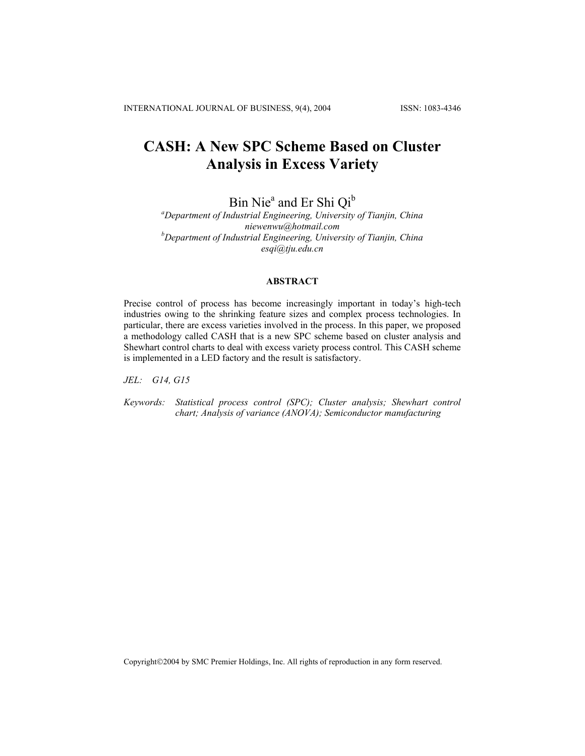# **CASH: A New SPC Scheme Based on Cluster Analysis in Excess Variety**

Bin Nie<sup>a</sup> and Er Shi Qi<sup>b</sup>

*a Department of Industrial Engineering, University of Tianjin, China niewenwu@hotmail.com b Department of Industrial Engineering, University of Tianjin, China esqi@tju.edu.cn* 

#### **ABSTRACT**

Precise control of process has become increasingly important in today's high-tech industries owing to the shrinking feature sizes and complex process technologies. In particular, there are excess varieties involved in the process. In this paper, we proposed a methodology called CASH that is a new SPC scheme based on cluster analysis and Shewhart control charts to deal with excess variety process control. This CASH scheme is implemented in a LED factory and the result is satisfactory.

*JEL: G14, G15* 

*Keywords: Statistical process control (SPC); Cluster analysis; Shewhart control chart; Analysis of variance (ANOVA); Semiconductor manufacturing* 

Copyright©2004 by SMC Premier Holdings, Inc. All rights of reproduction in any form reserved.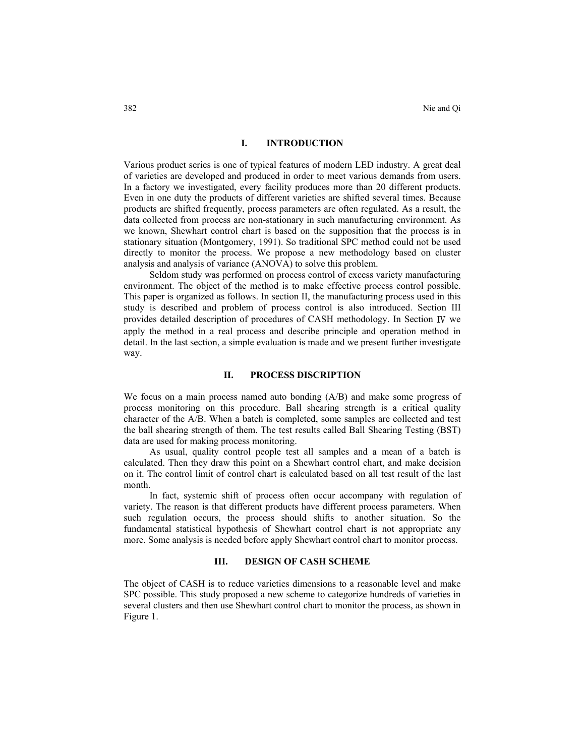## **I. INTRODUCTION**

Various product series is one of typical features of modern LED industry. A great deal of varieties are developed and produced in order to meet various demands from users. In a factory we investigated, every facility produces more than 20 different products. Even in one duty the products of different varieties are shifted several times. Because products are shifted frequently, process parameters are often regulated. As a result, the data collected from process are non-stationary in such manufacturing environment. As we known, Shewhart control chart is based on the supposition that the process is in stationary situation (Montgomery, 1991). So traditional SPC method could not be used directly to monitor the process. We propose a new methodology based on cluster analysis and analysis of variance (ANOVA) to solve this problem.

Seldom study was performed on process control of excess variety manufacturing environment. The object of the method is to make effective process control possible. This paper is organized as follows. In section II, the manufacturing process used in this study is described and problem of process control is also introduced. Section III provides detailed description of procedures of CASH methodology. In Section Ⅳ we apply the method in a real process and describe principle and operation method in detail. In the last section, a simple evaluation is made and we present further investigate way.

## **II. PROCESS DISCRIPTION**

We focus on a main process named auto bonding (A/B) and make some progress of process monitoring on this procedure. Ball shearing strength is a critical quality character of the A/B. When a batch is completed, some samples are collected and test the ball shearing strength of them. The test results called Ball Shearing Testing (BST) data are used for making process monitoring.

As usual, quality control people test all samples and a mean of a batch is calculated. Then they draw this point on a Shewhart control chart, and make decision on it. The control limit of control chart is calculated based on all test result of the last month.

In fact, systemic shift of process often occur accompany with regulation of variety. The reason is that different products have different process parameters. When such regulation occurs, the process should shifts to another situation. So the fundamental statistical hypothesis of Shewhart control chart is not appropriate any more. Some analysis is needed before apply Shewhart control chart to monitor process.

# **III. DESIGN OF CASH SCHEME**

The object of CASH is to reduce varieties dimensions to a reasonable level and make SPC possible. This study proposed a new scheme to categorize hundreds of varieties in several clusters and then use Shewhart control chart to monitor the process, as shown in Figure 1.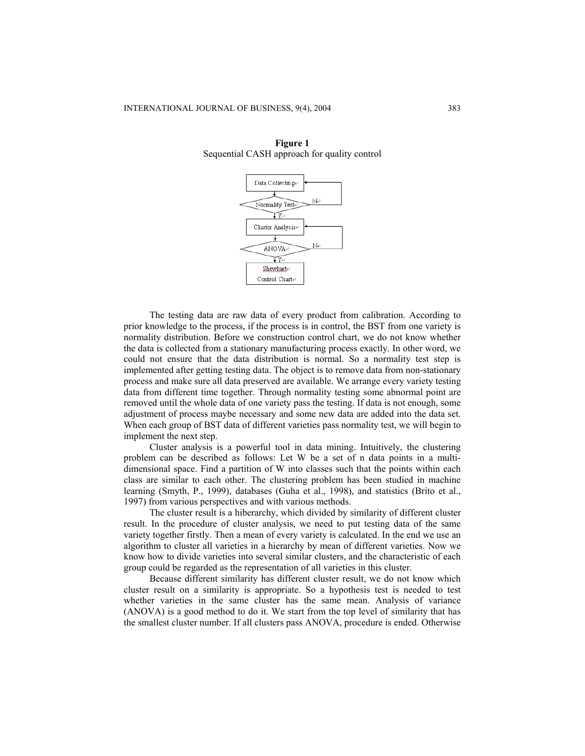



The testing data are raw data of every product from calibration. According to prior knowledge to the process, if the process is in control, the BST from one variety is normality distribution. Before we construction control chart, we do not know whether the data is collected from a stationary manufacturing process exactly. In other word, we could not ensure that the data distribution is normal. So a normality test step is implemented after getting testing data. The object is to remove data from non-stationary process and make sure all data preserved are available. We arrange every variety testing data from different time together. Through normality testing some abnormal point are removed until the whole data of one variety pass the testing. If data is not enough, some adjustment of process maybe necessary and some new data are added into the data set. When each group of BST data of different varieties pass normality test, we will begin to implement the next step.

Cluster analysis is a powerful tool in data mining. Intuitively, the clustering problem can be described as follows: Let W be a set of n data points in a multidimensional space. Find a partition of W into classes such that the points within each class are similar to each other. The clustering problem has been studied in machine learning (Smyth, P., 1999), databases (Guha et al., 1998), and statistics (Brito et al., 1997) from various perspectives and with various methods.

The cluster result is a hiberarchy, which divided by similarity of different cluster result. In the procedure of cluster analysis, we need to put testing data of the same variety together firstly. Then a mean of every variety is calculated. In the end we use an algorithm to cluster all varieties in a hierarchy by mean of different varieties. Now we know how to divide varieties into several similar clusters, and the characteristic of each group could be regarded as the representation of all varieties in this cluster.

Because different similarity has different cluster result, we do not know which cluster result on a similarity is appropriate. So a hypothesis test is needed to test whether varieties in the same cluster has the same mean. Analysis of variance (ANOVA) is a good method to do it. We start from the top level of similarity that has the smallest cluster number. If all clusters pass ANOVA, procedure is ended. Otherwise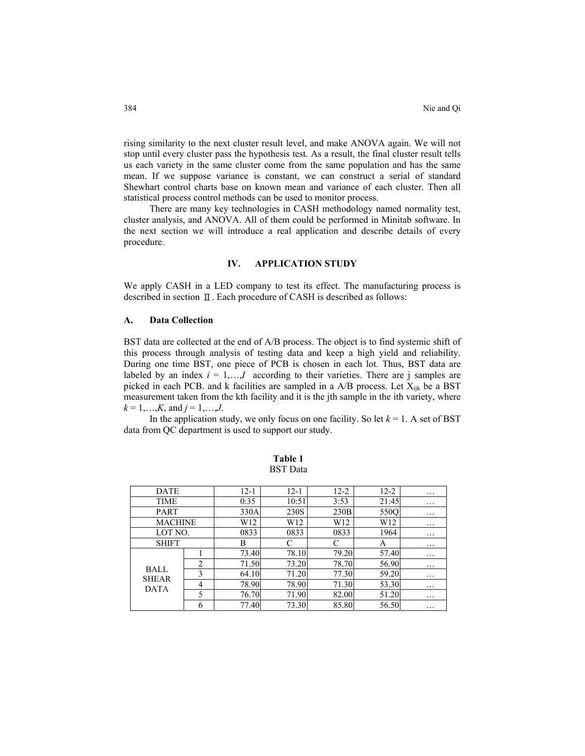rising similarity to the next cluster result level, and make ANOVA again. We will not stop until every cluster pass the hypothesis test. As a result, the final cluster result tells us each variety in the same cluster come from the same population and has the same mean. If we suppose variance is constant, we can construct a serial of standard Shewhart control charts base on known mean and variance of each cluster. Then all statistical process control methods can be used to monitor process.

There are many key technologies in CASH methodology named normality test, cluster analysis, and ANOVA. All of them could be performed in Minitab software. In the next section we will introduce a real application and describe details of every procedure.

## **IV. APPLICATION STUDY**

We apply CASH in a LED company to test its effect. The manufacturing process is described in section Ⅱ. Each procedure of CASH is described as follows:

#### **A. Data Collection**

BST data are collected at the end of A/B process. The object is to find systemic shift of this process through analysis of testing data and keep a high yield and reliability. During one time BST, one piece of PCB is chosen in each lot. Thus, BST data are labeled by an index  $i = 1,...,I$  according to their varieties. There are j samples are picked in each PCB. and k facilities are sampled in a  $A/B$  process. Let  $X_{ijk}$  be a BST measurement taken from the kth facility and it is the jth sample in the ith variety, where  $k = 1, \ldots, K$ , and  $j = 1, \ldots, J$ .

In the application study, we only focus on one facility. So let  $k = 1$ . A set of BST data from QC department is used to support our study.

| <b>DATE</b>                                |                | $12 - 1$ | $12 - 1$ | $12 - 2$ | $12 - 2$ | .        |
|--------------------------------------------|----------------|----------|----------|----------|----------|----------|
| <b>TIME</b>                                |                | 0:35     | 10:51    | 3:53     | 21:45    | .        |
| <b>PART</b>                                |                | 330A     | 230S     | 230B     | 550O     | $\ddots$ |
| <b>MACHINE</b>                             |                | W12      | W12      | W12      | W12      | .        |
| LOT NO.                                    |                | 0833     | 0833     | 0833     | 1964     | .        |
| <b>SHIFT</b>                               |                | В        | C        | C        | А        | .        |
| <b>BALL</b><br><b>SHEAR</b><br><b>DATA</b> |                | 73.40    | 78.10    | 79.20    | 57.40    | .        |
|                                            | $\overline{2}$ | 71.50    | 73.20    | 78.70    | 56.90    | .        |
|                                            | 3              | 64.10    | 71.20    | 77.30    | 59.20    | .        |
|                                            | 4              | 78.90    | 78.90    | 71.30    | 53.30    | .        |
|                                            | 5              | 76.70    | 71.90    | 82.00    | 51.20    | .        |
|                                            | 6              | 77.40    | 73.30    | 85.80    | 56.50    | .        |

**Table 1** BST Data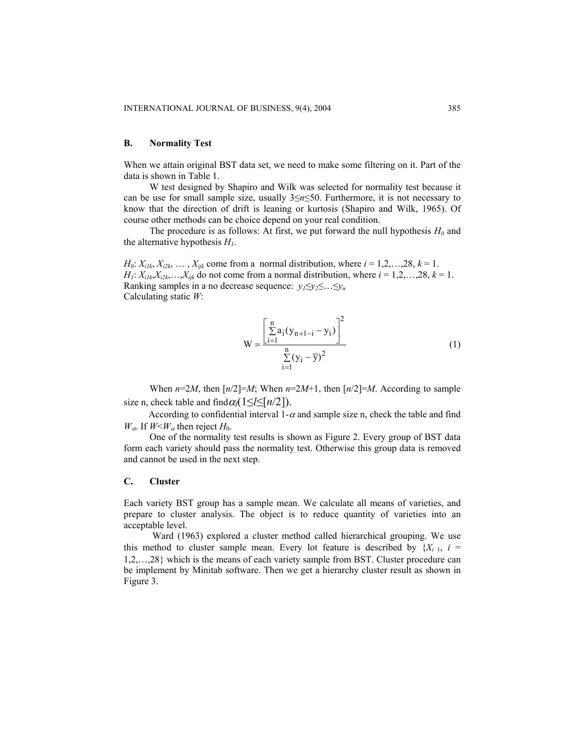#### **B. Normality Test**

When we attain original BST data set, we need to make some filtering on it. Part of the data is shown in Table 1.

W test designed by Shapiro and Wilk was selected for normality test because it can be use for small sample size, usually 3≤*n*≤50. Furthermore, it is not necessary to know that the direction of drift is leaning or kurtosis (Shapiro and Wilk, 1965). Of course other methods can be choice depend on your real condition.

The procedure is as follows: At first, we put forward the null hypothesis  $H_0$  and the alternative hypothesis  $H<sub>1</sub>$ .

*H<sub>0</sub>*:  $X_{i1k}, X_{i2k}, \ldots, X_{ijk}$  come from a normal distribution, where  $i = 1, 2, \ldots, 28, k = 1$ . *H<sub>1</sub>*:  $X_{i1k}$ , $X_{i2k}$ , ..., $X_{ijk}$  do not come from a normal distribution, where  $i = 1, 2, \ldots, 28$ ,  $k = 1$ . Ranking samples in a no decrease sequence:  $y_1 \leq y_2 \leq \ldots \leq y_n$ Calculating static *W*:

$$
W = \frac{\left[\sum_{i=1}^{n} a_i (y_{n+1-i} - y_i)\right]^2}{\sum_{i=1}^{n} (y_i - \overline{y})^2}
$$
(1)

When  $n=2M$ , then  $[n/2]=M$ ; When  $n=2M+1$ , then  $[n/2]=M$ . According to sample size n, check table and find  $\alpha_l(1 \leq l \leq n/2)$ .

According to confidential interval 1- $\alpha$  and sample size n, check the table and find *W*<sub>α</sub>. If *W*<*W*<sub>α</sub> then reject *H*<sub>0</sub>.

One of the normality test results is shown as Figure 2. Every group of BST data form each variety should pass the normality test. Otherwise this group data is removed and cannot be used in the next step.

#### **C. Cluster**

Each variety BST group has a sample mean. We calculate all means of varieties, and prepare to cluster analysis. The object is to reduce quantity of varieties into an acceptable level.

Ward (1963) explored a cluster method called hierarchical grouping. We use this method to cluster sample mean. Every lot feature is described by  ${X_i}_1$ ,  $i =$ 1,2,…,28} which is the means of each variety sample from BST. Cluster procedure can be implement by Minitab software. Then we get a hierarchy cluster result as shown in Figure 3.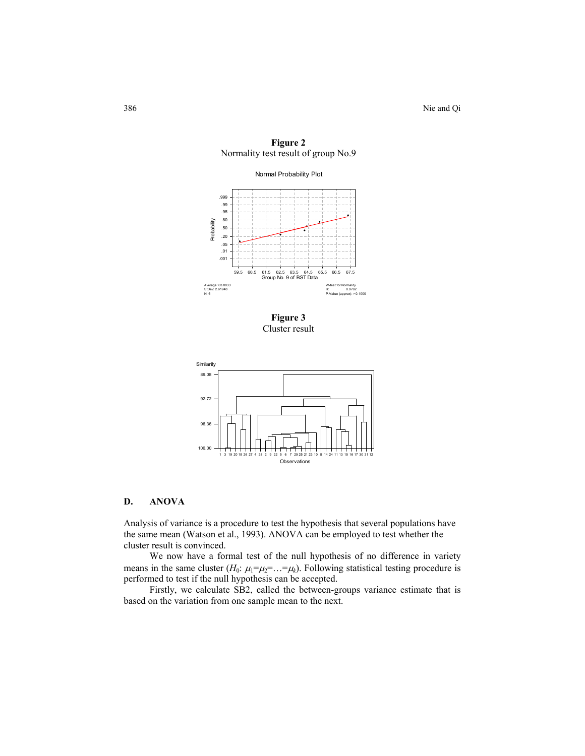

**Figure 2**  Normality test result of group No.9

**Figure 3**  Cluster result



## **D. ANOVA**

Analysis of variance is a procedure to test the hypothesis that several populations have the same mean (Watson et al., 1993). ANOVA can be employed to test whether the cluster result is convinced.

We now have a formal test of the null hypothesis of no difference in variety means in the same cluster  $(H_0: \mu_1 = \mu_2 = ... = \mu_k)$ . Following statistical testing procedure is performed to test if the null hypothesis can be accepted.

Firstly, we calculate SB2, called the between-groups variance estimate that is based on the variation from one sample mean to the next.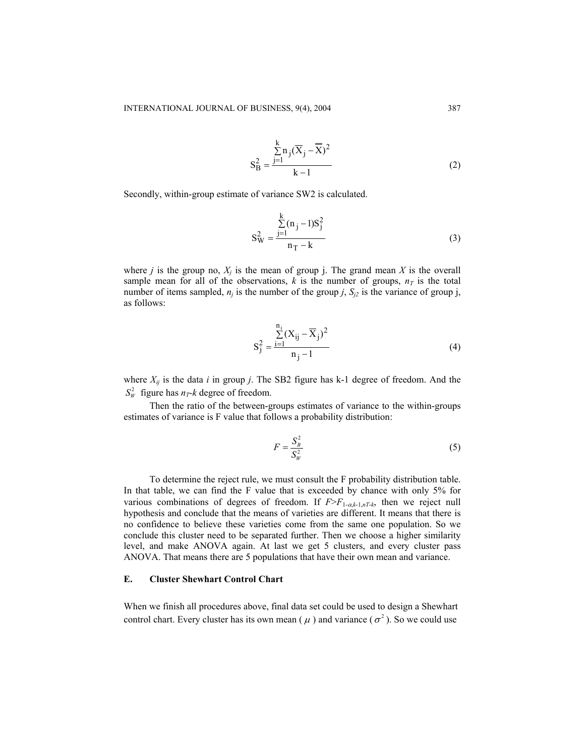$$
S_B^2 = \frac{\sum_{j=1}^{k} n_j (\overline{X}_j - \overline{\overline{X}})^2}{k-1}
$$
 (2)

Secondly, within-group estimate of variance SW2 is calculated.

$$
S_W^2 = \frac{\sum_{j=1}^{k} (n_j - 1) S_j^2}{n_T - k}
$$
 (3)

where *j* is the group no,  $X_j$  is the mean of group j. The grand mean *X* is the overall sample mean for all of the observations,  $k$  is the number of groups,  $n<sub>T</sub>$  is the total number of items sampled,  $n_j$  is the number of the group *j*,  $S_{j2}$  is the variance of group *j*, as follows:

$$
S_j^2 = \frac{\sum_{i=1}^{n_i} (X_{ij} - \overline{X}_j)^2}{n_j - 1}
$$
 (4)

where *Xij* is the data *i* in group *j*. The SB2 figure has k-1 degree of freedom. And the  $S_W^2$  figure has  $n_T$ -*k* degree of freedom.

Then the ratio of the between-groups estimates of variance to the within-groups estimates of variance is F value that follows a probability distribution:

$$
F = \frac{S_B^2}{S_W^2} \tag{5}
$$

To determine the reject rule, we must consult the F probability distribution table. In that table, we can find the F value that is exceeded by chance with only 5% for various combinations of degrees of freedom. If *F*>*F*1-α,*k*-1,*nT*-*k*, then we reject null hypothesis and conclude that the means of varieties are different. It means that there is no confidence to believe these varieties come from the same one population. So we conclude this cluster need to be separated further. Then we choose a higher similarity level, and make ANOVA again. At last we get 5 clusters, and every cluster pass ANOVA. That means there are 5 populations that have their own mean and variance.

#### **E. Cluster Shewhart Control Chart**

When we finish all procedures above, final data set could be used to design a Shewhart control chart. Every cluster has its own mean ( $\mu$ ) and variance ( $\sigma^2$ ). So we could use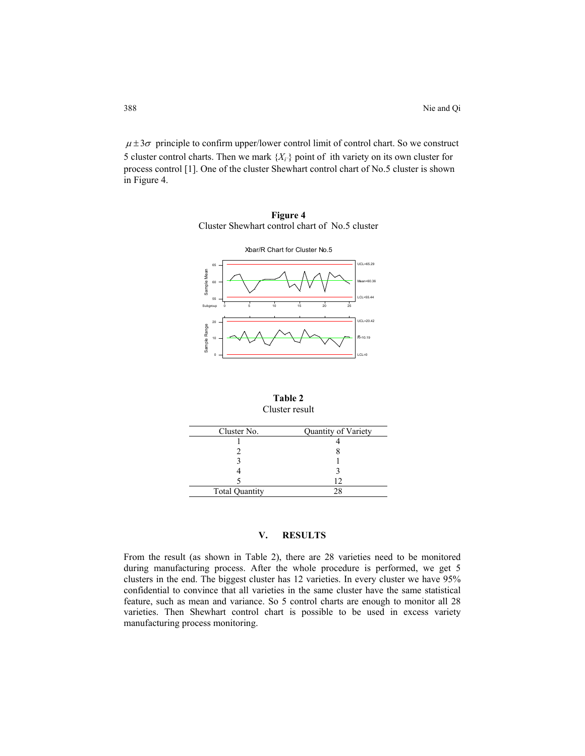$\mu \pm 3\sigma$  principle to confirm upper/lower control limit of control chart. So we construct 5 cluster control charts. Then we mark  $\{X_i\}$  point of ith variety on its own cluster for process control [1]. One of the cluster Shewhart control chart of No.5 cluster is shown in Figure 4.



**Figure 4**  Cluster Shewhart control chart of No.5 cluster

**Table 2** Cluster result

| Cluster No.           | Quantity of Variety |  |  |
|-----------------------|---------------------|--|--|
|                       |                     |  |  |
|                       |                     |  |  |
|                       |                     |  |  |
|                       |                     |  |  |
|                       | 12                  |  |  |
| <b>Total Quantity</b> |                     |  |  |

## **V. RESULTS**

From the result (as shown in Table 2), there are 28 varieties need to be monitored during manufacturing process. After the whole procedure is performed, we get 5 clusters in the end. The biggest cluster has 12 varieties. In every cluster we have 95% confidential to convince that all varieties in the same cluster have the same statistical feature, such as mean and variance. So 5 control charts are enough to monitor all 28 varieties. Then Shewhart control chart is possible to be used in excess variety manufacturing process monitoring.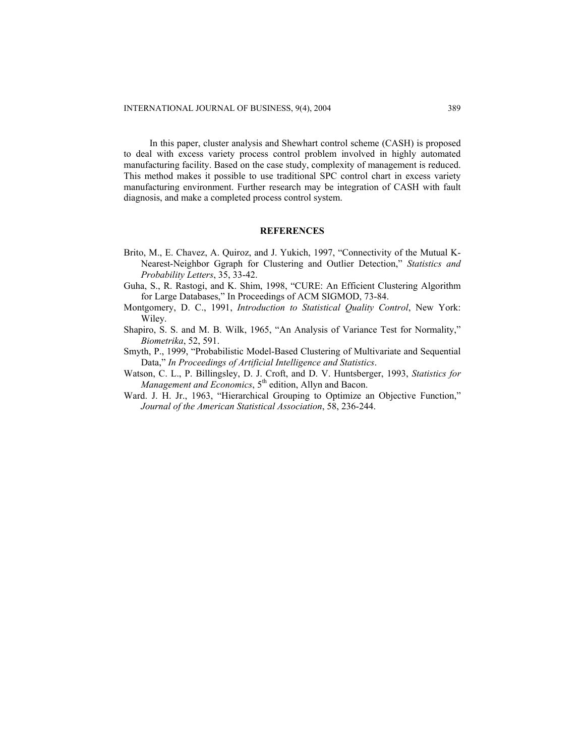In this paper, cluster analysis and Shewhart control scheme (CASH) is proposed to deal with excess variety process control problem involved in highly automated manufacturing facility. Based on the case study, complexity of management is reduced. This method makes it possible to use traditional SPC control chart in excess variety manufacturing environment. Further research may be integration of CASH with fault diagnosis, and make a completed process control system.

#### **REFERENCES**

- Brito, M., E. Chavez, A. Quiroz, and J. Yukich, 1997, "Connectivity of the Mutual K-Nearest-Neighbor Ggraph for Clustering and Outlier Detection," *Statistics and Probability Letters*, 35, 33-42.
- Guha, S., R. Rastogi, and K. Shim, 1998, "CURE: An Efficient Clustering Algorithm for Large Databases," In Proceedings of ACM SIGMOD, 73-84.
- Montgomery, D. C., 1991, *Introduction to Statistical Quality Control*, New York: Wiley.
- Shapiro, S. S. and M. B. Wilk, 1965, "An Analysis of Variance Test for Normality," *Biometrika*, 52, 591.
- Smyth, P., 1999, "Probabilistic Model-Based Clustering of Multivariate and Sequential Data," *In Proceedings of Artificial Intelligence and Statistics*.
- Watson, C. L., P. Billingsley, D. J. Croft, and D. V. Huntsberger, 1993, *Statistics for Management and Economics*,  $5<sup>th</sup>$  edition, Allyn and Bacon.
- Ward. J. H. Jr., 1963, "Hierarchical Grouping to Optimize an Objective Function," *Journal of the American Statistical Association*, 58, 236-244.